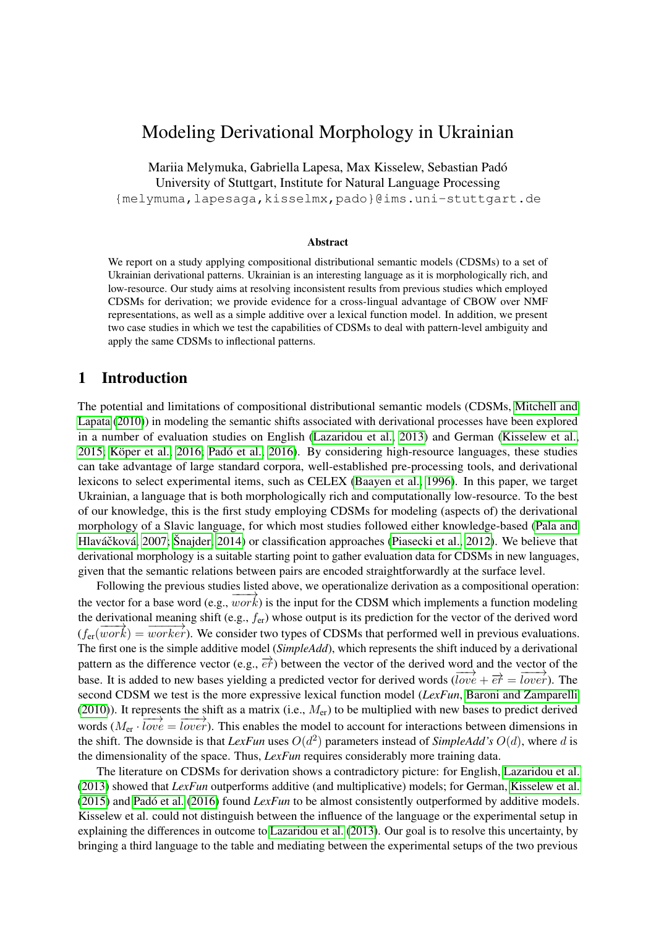# Modeling Derivational Morphology in Ukrainian

Mariia Melymuka, Gabriella Lapesa, Max Kisselew, Sebastian Padó University of Stuttgart, Institute for Natural Language Processing {melymuma,lapesaga,kisselmx,pado}@ims.uni-stuttgart.de

#### Abstract

We report on a study applying compositional distributional semantic models (CDSMs) to a set of Ukrainian derivational patterns. Ukrainian is an interesting language as it is morphologically rich, and low-resource. Our study aims at resolving inconsistent results from previous studies which employed CDSMs for derivation; we provide evidence for a cross-lingual advantage of CBOW over NMF representations, as well as a simple additive over a lexical function model. In addition, we present two case studies in which we test the capabilities of CDSMs to deal with pattern-level ambiguity and apply the same CDSMs to inflectional patterns.

### 1 Introduction

The potential and limitations of compositional distributional semantic models (CDSMs, [Mitchell and](#page-8-0) [Lapata](#page-8-0) [\(2010\)](#page-8-0)) in modeling the semantic shifts associated with derivational processes have been explored in a number of evaluation studies on English [\(Lazaridou et al., 2013\)](#page-8-1) and German [\(Kisselew et al.,](#page-8-2) [2015;](#page-8-2) [Köper et al., 2016;](#page-8-3) [Padó et al., 2016\)](#page-8-4). By considering high-resource languages, these studies can take advantage of large standard corpora, well-established pre-processing tools, and derivational lexicons to select experimental items, such as CELEX [\(Baayen et al., 1996\)](#page-7-0). In this paper, we target Ukrainian, a language that is both morphologically rich and computationally low-resource. To the best of our knowledge, this is the first study employing CDSMs for modeling (aspects of) the derivational morphology of a Slavic language, for which most studies followed either knowledge-based [\(Pala and](#page-8-5) Hlaváčková, 2007; [Šnajder, 2014\)](#page-8-6) or classification approaches [\(Piasecki et al., 2012\)](#page-8-7). We believe that derivational morphology is a suitable starting point to gather evaluation data for CDSMs in new languages, given that the semantic relations between pairs are encoded straightforwardly at the surface level.

Following the previous studies listed above, we operationalize derivation as a compositional operation: the vector for a base word (e.g.,  $work$ ) is the input for the CDSM which implements a function modeling the derivational meaning shift (e.g.,  $f_{\text{er}}$ ) whose output is its prediction for the vector of the derived word  $(f_{\text{er}}(\overline{work}) = \overline{worker}$ . We consider two types of CDSMs that performed well in previous evaluations. The first one is the simple additive model (*SimpleAdd*), which represents the shift induced by a derivational pattern as the difference vector (e.g.,  $\vec{e}\vec{r}$ ) between the vector of the derived word and the vector of the base. It is added to new bases yielding a predicted vector for derived words ( $\overrightarrow{love} + \overrightarrow{e\overrightarrow{r}} = \overrightarrow{lower}$ ). The second CDSM we test is the more expressive lexical function model (*LexFun*, [Baroni and Zamparelli](#page-7-1) [\(2010\)](#page-7-1)). It represents the shift as a matrix (i.e.,  $M_{\text{er}}$ ) to be multiplied with new bases to predict derived words  $(M_{\text{er}} \cdot \overline{love} = \overline{lower})$ . This enables the model to account for interactions between dimensions in the shift. The downside is that *LexFun* uses  $O(d^2)$  parameters instead of *SimpleAdd's*  $O(d)$ , where d is the dimensionality of the space. Thus, *LexFun* requires considerably more training data.

The literature on CDSMs for derivation shows a contradictory picture: for English, [Lazaridou et al.](#page-8-1) [\(2013\)](#page-8-1) showed that *LexFun* outperforms additive (and multiplicative) models; for German, [Kisselew et al.](#page-8-2) [\(2015\)](#page-8-2) and [Padó et al.](#page-8-4) [\(2016\)](#page-8-4) found *LexFun* to be almost consistently outperformed by additive models. Kisselew et al. could not distinguish between the influence of the language or the experimental setup in explaining the differences in outcome to [Lazaridou et al.](#page-8-1) [\(2013\)](#page-8-1). Our goal is to resolve this uncertainty, by bringing a third language to the table and mediating between the experimental setups of the two previous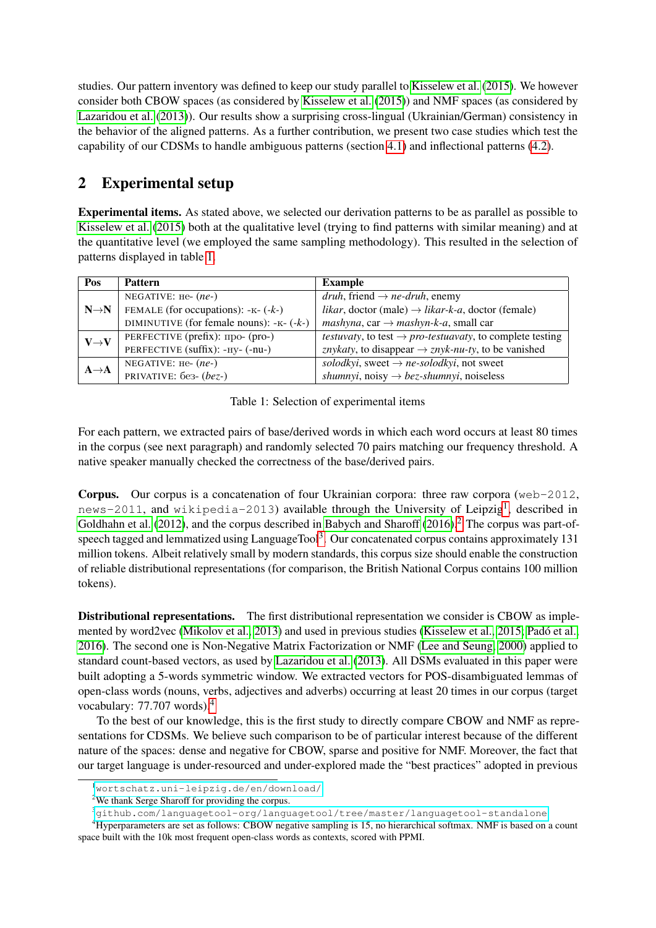studies. Our pattern inventory was defined to keep our study parallel to [Kisselew et al.](#page-8-2) [\(2015\)](#page-8-2). We however consider both CBOW spaces (as considered by [Kisselew et al.](#page-8-2) [\(2015\)](#page-8-2)) and NMF spaces (as considered by [Lazaridou et al.](#page-8-1) [\(2013\)](#page-8-1)). Our results show a surprising cross-lingual (Ukrainian/German) consistency in the behavior of the aligned patterns. As a further contribution, we present two case studies which test the capability of our CDSMs to handle ambiguous patterns (section [4.1\)](#page-5-0) and inflectional patterns [\(4.2\)](#page-6-0).

## 2 Experimental setup

Experimental items. As stated above, we selected our derivation patterns to be as parallel as possible to [Kisselew et al.](#page-8-2) [\(2015\)](#page-8-2) both at the qualitative level (trying to find patterns with similar meaning) and at the quantitative level (we employed the same sampling methodology). This resulted in the selection of patterns displayed in table [1.](#page-1-0)

<span id="page-1-0"></span>

| Pos               | <b>Pattern</b>                            | <b>Example</b>                                                                       |  |  |  |
|-------------------|-------------------------------------------|--------------------------------------------------------------------------------------|--|--|--|
| $N \rightarrow N$ | NEGATIVE: $He-(ne-)$                      | <i>druh</i> , friend $\rightarrow$ <i>ne-druh</i> , enemy                            |  |  |  |
|                   | FEMALE (for occupations): $-k-(-k-)$      | <i>likar</i> , doctor (male) $\rightarrow$ <i>likar-k-a</i> , doctor (female)        |  |  |  |
|                   | DIMINUTIVE (for female nouns): $-k-(-k-)$ | mashyna, car $\rightarrow$ mashyn-k-a, small car                                     |  |  |  |
| $V \rightarrow V$ | PERFECTIVE (prefix): про- (pro-)          | <i>testuvaty</i> , to test $\rightarrow$ <i>pro-testuavaty</i> , to complete testing |  |  |  |
|                   | PERFECTIVE (suffix): -ну- (-nu-)          | <i>znykaty</i> , to disappear $\rightarrow$ <i>znyk-nu-ty</i> , to be vanished       |  |  |  |
| $A \rightarrow A$ | NEGATIVE: $He-(ne-)$                      | solodkyi, sweet $\rightarrow$ <i>ne-solodkyi</i> , not sweet                         |  |  |  |
|                   | PRIVATIVE: $6e3-(bez-)$                   | <i>shumnyi</i> , noisy $\rightarrow$ <i>bez-shumnyi</i> , noiseless                  |  |  |  |

Table 1: Selection of experimental items

For each pattern, we extracted pairs of base/derived words in which each word occurs at least 80 times in the corpus (see next paragraph) and randomly selected 70 pairs matching our frequency threshold. A native speaker manually checked the correctness of the base/derived pairs.

**Corpus.** Our corpus is a concatenation of four Ukrainian corpora: three raw corpora ( $w \in b-2012$ , news-20[1](#page-1-1)1, and wikipedia-2013) available through the University of Leipzig<sup>1</sup>, described in [Goldhahn et al.](#page-8-8) [\(2012\)](#page-8-8), and the corpus described in [Babych and Sharoff](#page-7-2) [\(2016\)](#page-7-2).<sup>[2](#page-1-2)</sup> The corpus was part-of-speech tagged and lemmatized using LanguageTool<sup>[3](#page-1-3)</sup>. Our concatenated corpus contains approximately 131 million tokens. Albeit relatively small by modern standards, this corpus size should enable the construction of reliable distributional representations (for comparison, the British National Corpus contains 100 million tokens).

Distributional representations. The first distributional representation we consider is CBOW as implemented by word2vec [\(Mikolov et al., 2013\)](#page-8-9) and used in previous studies [\(Kisselew et al., 2015;](#page-8-2) [Padó et al.,](#page-8-4) [2016\)](#page-8-4). The second one is Non-Negative Matrix Factorization or NMF [\(Lee and Seung, 2000\)](#page-8-10) applied to standard count-based vectors, as used by [Lazaridou et al.](#page-8-1) [\(2013\)](#page-8-1). All DSMs evaluated in this paper were built adopting a 5-words symmetric window. We extracted vectors for POS-disambiguated lemmas of open-class words (nouns, verbs, adjectives and adverbs) occurring at least 20 times in our corpus (target vocabulary: 77.707 words).[4](#page-1-4)

To the best of our knowledge, this is the first study to directly compare CBOW and NMF as representations for CDSMs. We believe such comparison to be of particular interest because of the different nature of the spaces: dense and negative for CBOW, sparse and positive for NMF. Moreover, the fact that our target language is under-resourced and under-explored made the "best practices" adopted in previous

<span id="page-1-1"></span><sup>1</sup><wortschatz.uni-leipzig.de/en/download/>

<span id="page-1-2"></span><sup>&</sup>lt;sup>2</sup>We thank Serge Sharoff for providing the corpus.

<span id="page-1-4"></span><span id="page-1-3"></span><sup>3</sup><github.com/languagetool-org/languagetool/tree/master/languagetool-standalone>

<sup>4</sup>Hyperparameters are set as follows: CBOW negative sampling is 15, no hierarchical softmax. NMF is based on a count space built with the 10k most frequent open-class words as contexts, scored with PPMI.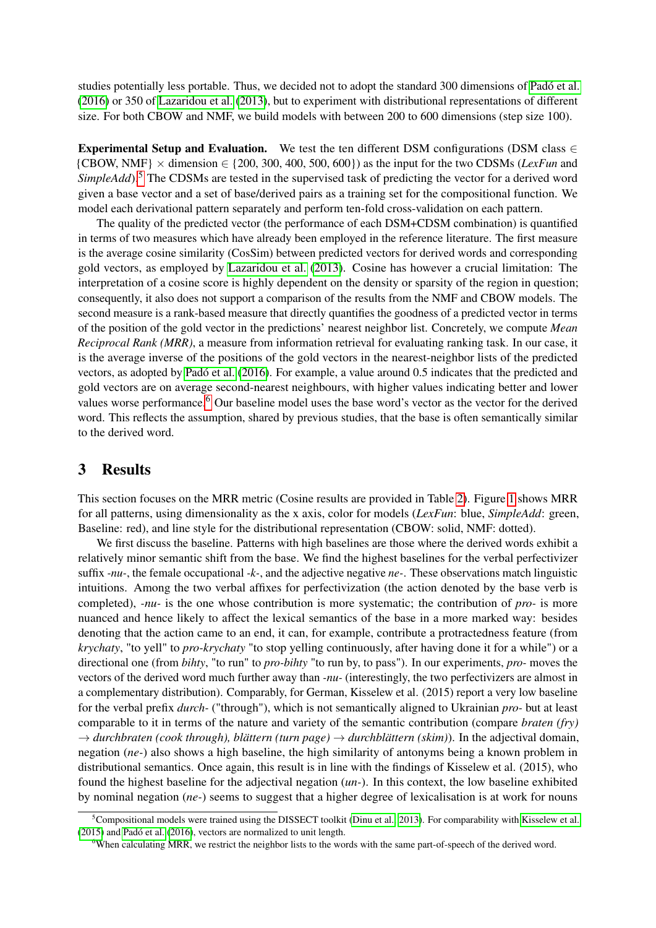studies potentially less portable. Thus, we decided not to adopt the standard 300 dimensions of [Padó et al.](#page-8-4) [\(2016\)](#page-8-4) or 350 of [Lazaridou et al.](#page-8-1) [\(2013\)](#page-8-1), but to experiment with distributional representations of different size. For both CBOW and NMF, we build models with between 200 to 600 dimensions (step size 100).

Experimental Setup and Evaluation. We test the ten different DSM configurations (DSM class  $\in$ {CBOW, NMF} × dimension ∈ {200, 300, 400, 500, 600}) as the input for the two CDSMs (*LexFun* and *SimpleAdd*).<sup>[5](#page-2-0)</sup> The CDSMs are tested in the supervised task of predicting the vector for a derived word given a base vector and a set of base/derived pairs as a training set for the compositional function. We model each derivational pattern separately and perform ten-fold cross-validation on each pattern.

The quality of the predicted vector (the performance of each DSM+CDSM combination) is quantified in terms of two measures which have already been employed in the reference literature. The first measure is the average cosine similarity (CosSim) between predicted vectors for derived words and corresponding gold vectors, as employed by [Lazaridou et al.](#page-8-1) [\(2013\)](#page-8-1). Cosine has however a crucial limitation: The interpretation of a cosine score is highly dependent on the density or sparsity of the region in question; consequently, it also does not support a comparison of the results from the NMF and CBOW models. The second measure is a rank-based measure that directly quantifies the goodness of a predicted vector in terms of the position of the gold vector in the predictions' nearest neighbor list. Concretely, we compute *Mean Reciprocal Rank (MRR)*, a measure from information retrieval for evaluating ranking task. In our case, it is the average inverse of the positions of the gold vectors in the nearest-neighbor lists of the predicted vectors, as adopted by [Padó et al.](#page-8-4) [\(2016\)](#page-8-4). For example, a value around 0.5 indicates that the predicted and gold vectors are on average second-nearest neighbours, with higher values indicating better and lower values worse performance.<sup>[6](#page-2-1)</sup> Our baseline model uses the base word's vector as the vector for the derived word. This reflects the assumption, shared by previous studies, that the base is often semantically similar to the derived word.

## 3 Results

This section focuses on the MRR metric (Cosine results are provided in Table [2\)](#page-5-1). Figure [1](#page-3-0) shows MRR for all patterns, using dimensionality as the x axis, color for models (*LexFun*: blue, *SimpleAdd*: green, Baseline: red), and line style for the distributional representation (CBOW: solid, NMF: dotted).

We first discuss the baseline. Patterns with high baselines are those where the derived words exhibit a relatively minor semantic shift from the base. We find the highest baselines for the verbal perfectivizer suffix *-nu-*, the female occupational *-k-*, and the adjective negative *ne-*. These observations match linguistic intuitions. Among the two verbal affixes for perfectivization (the action denoted by the base verb is completed), *-nu-* is the one whose contribution is more systematic; the contribution of *pro-* is more nuanced and hence likely to affect the lexical semantics of the base in a more marked way: besides denoting that the action came to an end, it can, for example, contribute a protractedness feature (from *krychaty*, "to yell" to *pro-krychaty* "to stop yelling continuously, after having done it for a while") or a directional one (from *bihty*, "to run" to *pro-bihty* "to run by, to pass"). In our experiments, *pro-* moves the vectors of the derived word much further away than *-nu-* (interestingly, the two perfectivizers are almost in a complementary distribution). Comparably, for German, Kisselew et al. (2015) report a very low baseline for the verbal prefix *durch-* ("through"), which is not semantically aligned to Ukrainian *pro-* but at least comparable to it in terms of the nature and variety of the semantic contribution (compare *braten (fry)*  $\rightarrow$  *durchbraten (cook through), blättern (turn page)*  $\rightarrow$  *durchblättern (skim)*). In the adjectival domain, negation (*ne-*) also shows a high baseline, the high similarity of antonyms being a known problem in distributional semantics. Once again, this result is in line with the findings of Kisselew et al. (2015), who found the highest baseline for the adjectival negation (*un-*). In this context, the low baseline exhibited by nominal negation (*ne-*) seems to suggest that a higher degree of lexicalisation is at work for nouns

<span id="page-2-0"></span><sup>&</sup>lt;sup>5</sup>Compositional models were trained using the DISSECT toolkit [\(Dinu et al., 2013\)](#page-8-11). For comparability with [Kisselew et al.](#page-8-2) [\(2015\)](#page-8-2) and [Padó et al.](#page-8-4) [\(2016\)](#page-8-4), vectors are normalized to unit length.

<span id="page-2-1"></span><sup>&</sup>lt;sup>6</sup>When calculating MRR, we restrict the neighbor lists to the words with the same part-of-speech of the derived word.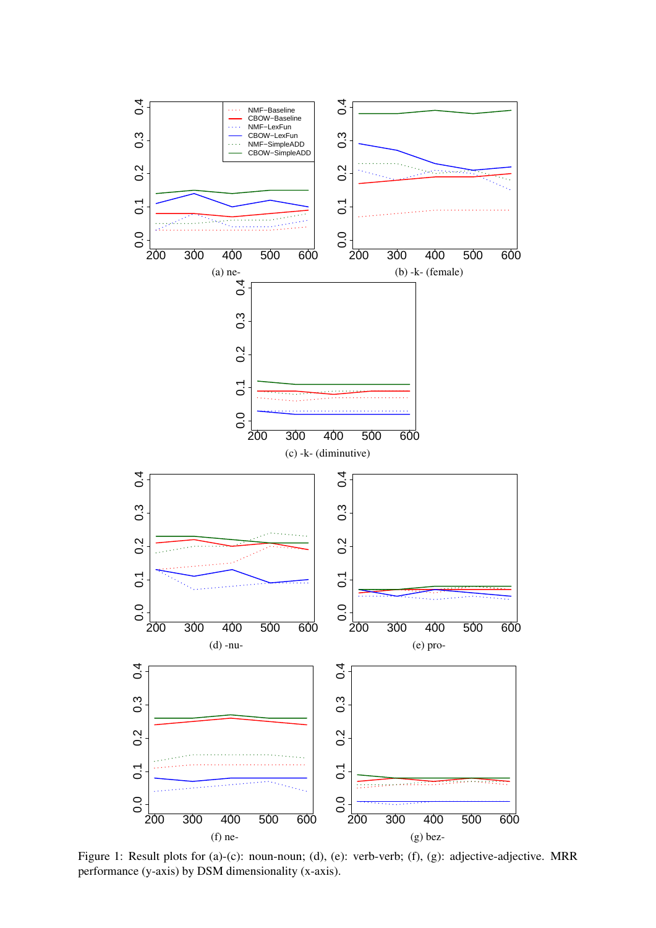<span id="page-3-0"></span>

Figure 1: Result plots for (a)-(c): noun-noun; (d), (e): verb-verb; (f), (g): adjective-adjective. MRR performance (y-axis) by DSM dimensionality (x-axis).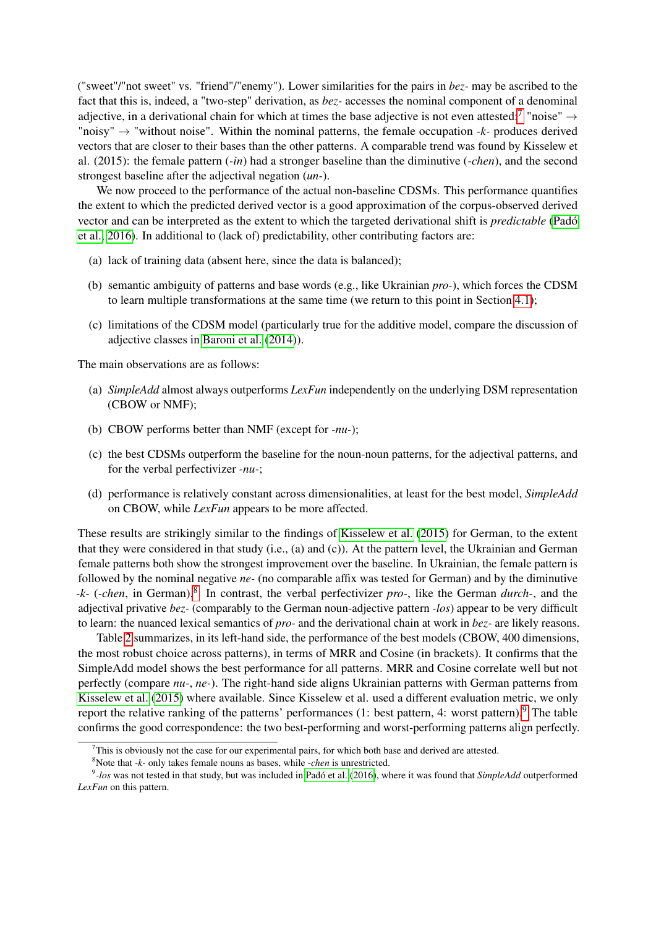("sweet"/"not sweet" vs. "friend"/"enemy"). Lower similarities for the pairs in *bez-* may be ascribed to the fact that this is, indeed, a "two-step" derivation, as *bez-* accesses the nominal component of a denominal adjective, in a derivational chain for which at times the base adjective is not even attested:<sup>[7](#page-4-0)</sup> "noise"  $\rightarrow$ "noisy" → "without noise". Within the nominal patterns, the female occupation *-k-* produces derived vectors that are closer to their bases than the other patterns. A comparable trend was found by Kisselew et al. (2015): the female pattern (*-in*) had a stronger baseline than the diminutive (*-chen*), and the second strongest baseline after the adjectival negation (*un-*).

We now proceed to the performance of the actual non-baseline CDSMs. This performance quantifies the extent to which the predicted derived vector is a good approximation of the corpus-observed derived vector and can be interpreted as the extent to which the targeted derivational shift is *predictable* [\(Padó](#page-8-4) [et al., 2016\)](#page-8-4). In additional to (lack of) predictability, other contributing factors are:

- (a) lack of training data (absent here, since the data is balanced);
- (b) semantic ambiguity of patterns and base words (e.g., like Ukrainian *pro-*), which forces the CDSM to learn multiple transformations at the same time (we return to this point in Section [4.1\)](#page-5-0);
- (c) limitations of the CDSM model (particularly true for the additive model, compare the discussion of adjective classes in [Baroni et al.](#page-7-3) [\(2014\)](#page-7-3)).

The main observations are as follows:

- (a) *SimpleAdd* almost always outperforms *LexFun* independently on the underlying DSM representation (CBOW or NMF);
- (b) CBOW performs better than NMF (except for *-nu-*);
- (c) the best CDSMs outperform the baseline for the noun-noun patterns, for the adjectival patterns, and for the verbal perfectivizer *-nu-*;
- (d) performance is relatively constant across dimensionalities, at least for the best model, *SimpleAdd* on CBOW, while *LexFun* appears to be more affected.

These results are strikingly similar to the findings of [Kisselew et al.](#page-8-2) [\(2015\)](#page-8-2) for German, to the extent that they were considered in that study (i.e., (a) and (c)). At the pattern level, the Ukrainian and German female patterns both show the strongest improvement over the baseline. In Ukrainian, the female pattern is followed by the nominal negative *ne-* (no comparable affix was tested for German) and by the diminutive *-k-* (*-chen*, in German).[8](#page-4-1) In contrast, the verbal perfectivizer *pro-*, like the German *durch-*, and the adjectival privative *bez-* (comparably to the German noun-adjective pattern *-los*) appear to be very difficult to learn: the nuanced lexical semantics of *pro-* and the derivational chain at work in *bez-* are likely reasons.

Table [2](#page-5-1) summarizes, in its left-hand side, the performance of the best models (CBOW, 400 dimensions, the most robust choice across patterns), in terms of MRR and Cosine (in brackets). It confirms that the SimpleAdd model shows the best performance for all patterns. MRR and Cosine correlate well but not perfectly (compare *nu-*, *ne-*). The right-hand side aligns Ukrainian patterns with German patterns from [Kisselew et al.](#page-8-2) [\(2015\)](#page-8-2) where available. Since Kisselew et al. used a different evaluation metric, we only report the relative ranking of the patterns' performances  $(1:$  best pattern, 4: worst pattern).<sup>[9](#page-4-2)</sup> The table confirms the good correspondence: the two best-performing and worst-performing patterns align perfectly.

<span id="page-4-0"></span> $7$ This is obviously not the case for our experimental pairs, for which both base and derived are attested.

<span id="page-4-2"></span><span id="page-4-1"></span><sup>8</sup>Note that *-k-* only takes female nouns as bases, while *-chen* is unrestricted.

<sup>9</sup> *-los* was not tested in that study, but was included in [Padó et al.](#page-8-4) [\(2016\)](#page-8-4), where it was found that *SimpleAdd* outperformed *LexFun* on this pattern.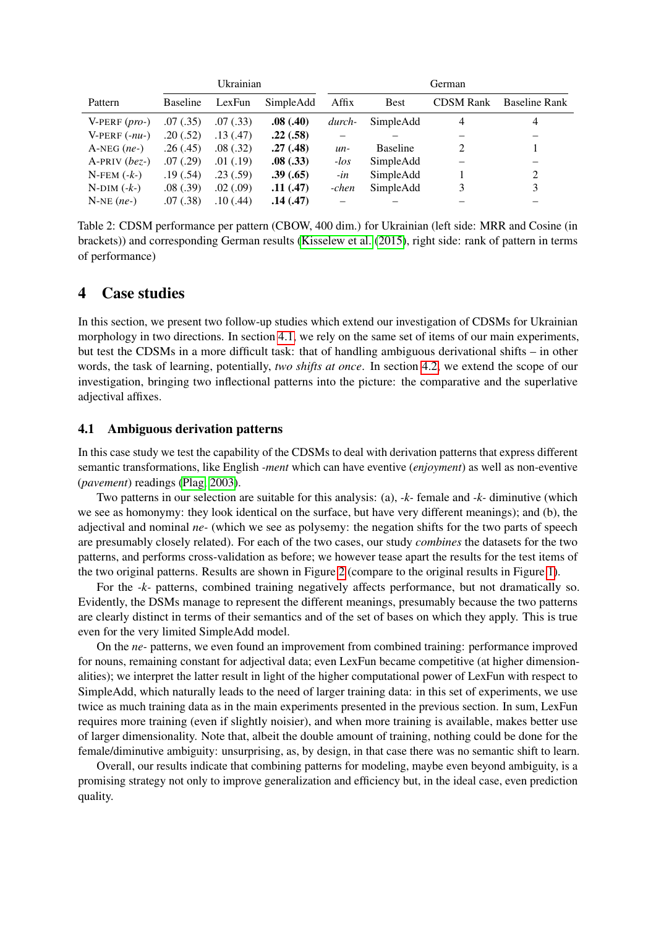<span id="page-5-1"></span>

|                          | Ukrainian       |           |           | German  |                 |                  |               |
|--------------------------|-----------------|-----------|-----------|---------|-----------------|------------------|---------------|
| Pattern                  | <b>Baseline</b> | LexFun    | SimpleAdd | Affix   | Best            | <b>CDSM Rank</b> | Baseline Rank |
| V-PERF $(pro-)$          | .07(.35)        | .07(0.33) | .08(.40)  | durch-  | SimpleAdd       | $\overline{4}$   | 4             |
| V-PERF $(-nu-)$          | .20(.52)        | .13(.47)  | .22(.58)  |         |                 |                  |               |
| $A-NEG$ ( <i>ne</i> -)   | .26(.45)        | .08(0.32) | .27(.48)  | $un-$   | <b>Baseline</b> | 2                |               |
| $A-PRIV$ ( <i>bez</i> -) | .07(0.29)       | .01(.19)  | .08(.33)  | $-$ los | SimpleAdd       |                  |               |
| $N$ -FEM $(-k-)$         | .19(0.54)       | .23(.59)  | .39(.65)  | -in     | SimpleAdd       |                  | 2             |
| $N-DIM$ $(-k-)$          | .08(.39)        | .02(.09)  | .11(.47)  | -chen   | SimpleAdd       | 3                | 3             |
| $N-NE$ ( <i>ne</i> -)    | .07(.38)        | .10(0.44) | .14(.47)  |         |                 |                  |               |

Table 2: CDSM performance per pattern (CBOW, 400 dim.) for Ukrainian (left side: MRR and Cosine (in brackets)) and corresponding German results [\(Kisselew et al.](#page-8-2) [\(2015\)](#page-8-2), right side: rank of pattern in terms of performance)

## 4 Case studies

In this section, we present two follow-up studies which extend our investigation of CDSMs for Ukrainian morphology in two directions. In section [4.1,](#page-5-0) we rely on the same set of items of our main experiments, but test the CDSMs in a more difficult task: that of handling ambiguous derivational shifts – in other words, the task of learning, potentially, *two shifts at once*. In section [4.2,](#page-6-0) we extend the scope of our investigation, bringing two inflectional patterns into the picture: the comparative and the superlative adjectival affixes.

### <span id="page-5-0"></span>4.1 Ambiguous derivation patterns

In this case study we test the capability of the CDSMs to deal with derivation patterns that express different semantic transformations, like English *-ment* which can have eventive (*enjoyment*) as well as non-eventive (*pavement*) readings [\(Plag, 2003\)](#page-8-12).

Two patterns in our selection are suitable for this analysis: (a), *-k-* female and *-k-* diminutive (which we see as homonymy: they look identical on the surface, but have very different meanings); and (b), the adjectival and nominal *ne-* (which we see as polysemy: the negation shifts for the two parts of speech are presumably closely related). For each of the two cases, our study *combines* the datasets for the two patterns, and performs cross-validation as before; we however tease apart the results for the test items of the two original patterns. Results are shown in Figure [2](#page-6-1) (compare to the original results in Figure [1\)](#page-3-0).

For the *-k-* patterns, combined training negatively affects performance, but not dramatically so. Evidently, the DSMs manage to represent the different meanings, presumably because the two patterns are clearly distinct in terms of their semantics and of the set of bases on which they apply. This is true even for the very limited SimpleAdd model.

On the *ne-* patterns, we even found an improvement from combined training: performance improved for nouns, remaining constant for adjectival data; even LexFun became competitive (at higher dimensionalities); we interpret the latter result in light of the higher computational power of LexFun with respect to SimpleAdd, which naturally leads to the need of larger training data: in this set of experiments, we use twice as much training data as in the main experiments presented in the previous section. In sum, LexFun requires more training (even if slightly noisier), and when more training is available, makes better use of larger dimensionality. Note that, albeit the double amount of training, nothing could be done for the female/diminutive ambiguity: unsurprising, as, by design, in that case there was no semantic shift to learn.

Overall, our results indicate that combining patterns for modeling, maybe even beyond ambiguity, is a promising strategy not only to improve generalization and efficiency but, in the ideal case, even prediction quality.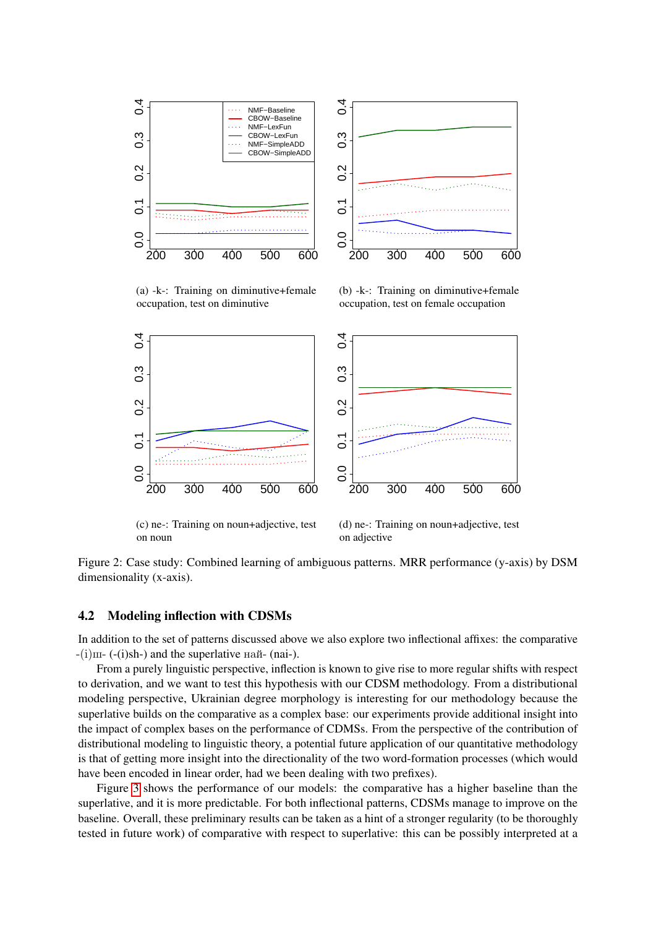<span id="page-6-1"></span>

(a) -k-: Training on diminutive+female occupation, test on diminutive

(b) -k-: Training on diminutive+female occupation, test on female occupation



(c) ne-: Training on noun+adjective, test on noun

(d) ne-: Training on noun+adjective, test on adjective

Figure 2: Case study: Combined learning of ambiguous patterns. MRR performance (y-axis) by DSM dimensionality (x-axis).

#### <span id="page-6-0"></span>4.2 Modeling inflection with CDSMs

In addition to the set of patterns discussed above we also explore two inflectional affixes: the comparative  $-(i)$ ш- (-(i)sh-) and the superlative най- (nai-).

From a purely linguistic perspective, inflection is known to give rise to more regular shifts with respect to derivation, and we want to test this hypothesis with our CDSM methodology. From a distributional modeling perspective, Ukrainian degree morphology is interesting for our methodology because the superlative builds on the comparative as a complex base: our experiments provide additional insight into the impact of complex bases on the performance of CDMSs. From the perspective of the contribution of distributional modeling to linguistic theory, a potential future application of our quantitative methodology is that of getting more insight into the directionality of the two word-formation processes (which would have been encoded in linear order, had we been dealing with two prefixes).

Figure [3](#page-7-4) shows the performance of our models: the comparative has a higher baseline than the superlative, and it is more predictable. For both inflectional patterns, CDSMs manage to improve on the baseline. Overall, these preliminary results can be taken as a hint of a stronger regularity (to be thoroughly tested in future work) of comparative with respect to superlative: this can be possibly interpreted at a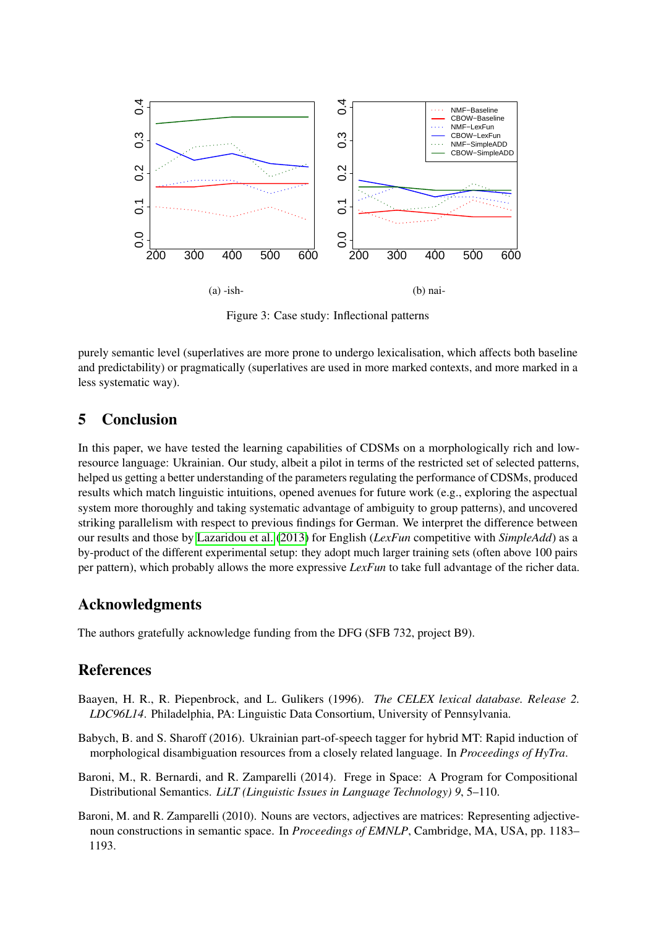<span id="page-7-4"></span>

Figure 3: Case study: Inflectional patterns

purely semantic level (superlatives are more prone to undergo lexicalisation, which affects both baseline and predictability) or pragmatically (superlatives are used in more marked contexts, and more marked in a less systematic way).

## 5 Conclusion

In this paper, we have tested the learning capabilities of CDSMs on a morphologically rich and lowresource language: Ukrainian. Our study, albeit a pilot in terms of the restricted set of selected patterns, helped us getting a better understanding of the parameters regulating the performance of CDSMs, produced results which match linguistic intuitions, opened avenues for future work (e.g., exploring the aspectual system more thoroughly and taking systematic advantage of ambiguity to group patterns), and uncovered striking parallelism with respect to previous findings for German. We interpret the difference between our results and those by [Lazaridou et al.](#page-8-1) [\(2013\)](#page-8-1) for English (*LexFun* competitive with *SimpleAdd*) as a by-product of the different experimental setup: they adopt much larger training sets (often above 100 pairs per pattern), which probably allows the more expressive *LexFun* to take full advantage of the richer data.

## Acknowledgments

The authors gratefully acknowledge funding from the DFG (SFB 732, project B9).

## References

- <span id="page-7-0"></span>Baayen, H. R., R. Piepenbrock, and L. Gulikers (1996). *The CELEX lexical database. Release 2. LDC96L14*. Philadelphia, PA: Linguistic Data Consortium, University of Pennsylvania.
- <span id="page-7-2"></span>Babych, B. and S. Sharoff (2016). Ukrainian part-of-speech tagger for hybrid MT: Rapid induction of morphological disambiguation resources from a closely related language. In *Proceedings of HyTra*.
- <span id="page-7-3"></span>Baroni, M., R. Bernardi, and R. Zamparelli (2014). Frege in Space: A Program for Compositional Distributional Semantics. *LiLT (Linguistic Issues in Language Technology) 9*, 5–110.
- <span id="page-7-1"></span>Baroni, M. and R. Zamparelli (2010). Nouns are vectors, adjectives are matrices: Representing adjectivenoun constructions in semantic space. In *Proceedings of EMNLP*, Cambridge, MA, USA, pp. 1183– 1193.